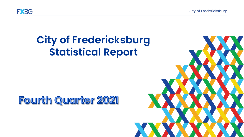**City of Fredericksburg** 



# **City of Fredericksburg Statistical Report**

# **Fourth Quarter 2021**

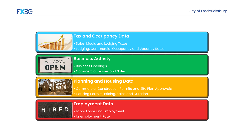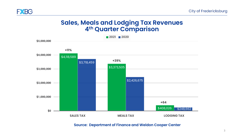

### **FXBG**

## **Sales, Meals and Lodging Tax Revenues 4th Quarter Comparison**



#### **Source: Department of Finance and Weldon Cooper Center**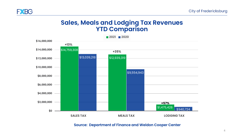

## **Sales, Meals and Lodging Tax Revenues YTD Comparison**



#### **Source: Department of Finance and Weldon Cooper Center**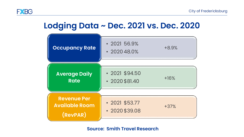

## **Lodging Data ~ Dec. 2021 vs. Dec. 2020**

| <b>Occupancy Rate</b>                                   | $\cdot$ 2021 56.9%<br>$\cdot$ 2020 48.0%     | $+8.9%$ |
|---------------------------------------------------------|----------------------------------------------|---------|
| <b>Average Daily</b><br><b>Rate</b>                     | $\cdot$ 2021 \$94.50<br>$\cdot$ 2020 \$81.40 | $+16%$  |
| <b>Revenue Per</b><br><b>Available Room</b><br>(RevPAR) | $\cdot$ 2021 \$53.77<br>$\cdot$ 2020 \$39.08 | $+37%$  |

#### **Source: Smith Travel Research**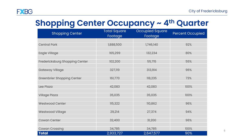## **Shopping Center Occupancy ~ 4th Quarter**

| <b>Shopping Center</b>            | <b>Total Square</b><br>Footage | Occupied Square<br>Footage | <b>Percent Occupied</b> |
|-----------------------------------|--------------------------------|----------------------------|-------------------------|
|                                   |                                |                            |                         |
| <b>Central Park</b>               | 1,888,500                      | 1,746,140                  | 92%                     |
|                                   |                                |                            |                         |
| <b>Eagle Village</b>              | 165,299                        | 132,234                    | 80%                     |
|                                   |                                |                            |                         |
| Fredericksburg Shopping Center    | 102,200                        | 55,715                     | 55%                     |
|                                   |                                |                            |                         |
| <b>Gateway Village</b>            | 327,119                        | 313,914                    | 96%                     |
|                                   |                                |                            |                         |
| <b>Greenbrier Shopping Center</b> | 161,770                        | 118,235                    | 73%                     |
|                                   |                                |                            |                         |
| Lee Plaza                         | 42,083                         | 42,083                     | 100%                    |
|                                   |                                |                            |                         |
| <b>Village Plaza</b>              | 35,035                         | 35,035                     | 100%                    |
|                                   |                                |                            |                         |
| <b>Westwood Center</b>            | 115,322                        | 110,862                    | 96%                     |
|                                   |                                |                            |                         |
| <b>Westwood Village</b>           | 29,214                         | 27,374                     | 94%                     |
|                                   |                                |                            |                         |
| <b>Cowan Center</b>               | 32,400                         | 31,200                     | 96%                     |
|                                   |                                |                            |                         |
| <b>Cowan Crossing</b>             | 34,785                         | 34,785                     | 100%                    |
| <b>Total</b>                      | 2,933,727                      | 2,647,577                  | 90%                     |

6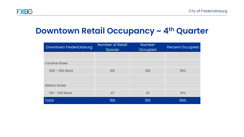

## **Downtown Retail Occupancy ~ 4th Quarter**

| Downtown Fredericksburg | <b>Number of Retail</b><br><b>Spaces</b> | <b>Number</b><br>Occupied | <b>Percent Occupied</b> |
|-------------------------|------------------------------------------|---------------------------|-------------------------|
|                         |                                          |                           |                         |
| <b>Caroline Street</b>  |                                          |                           |                         |
| $500 - 1100$ Block      | 109                                      | 108                       | 99%                     |
|                         |                                          |                           |                         |
| <b>William Street</b>   |                                          |                           |                         |
| $100 - 500$ Block       | 47                                       | 43                        | 91%                     |
| <b>Total</b>            | 156                                      | 150                       | 96%                     |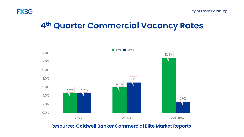

## **4th Quarter Commercial Vacancy Rates**



#### **Resource: Coldwell Banker Commercial Elite Market Reports**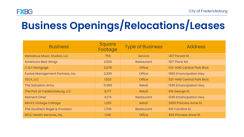

# **Business Openings/Relocations/Leases**

| <b>Business</b>                         | Square<br>Footage | <b>Type of Business</b> | <b>Address</b>               |
|-----------------------------------------|-------------------|-------------------------|------------------------------|
| <b>Melodious Music Studios, LLC</b>     | 755               | <b>Service</b>          | 1417 Parcell St.             |
| <b>America's Best Wings</b>             | 2,500             | <b>Restaurant</b>       | 1917 Plank Rd.               |
| C & F Mortgage                          | 3,978             | <b>Office</b>           | 1121-1440 Central Park Blvd. |
| <b>Evolve Management Partners, Inc.</b> | 2,200             | <b>Office</b>           | 1955 Emancipation Hwy.       |
| <b>TECX, LLC</b>                        | 1,620             | <b>Office</b>           | 1121-1440 Central Park Blvd. |
| The Salvation Army                      | 11,999            | Retail                  | 1245 Emancipation Hwy.       |
| The Port at Fredericksburg, LLC         | 8,177             | Retail                  | 106 George St.               |
| <b>Moment Diner</b>                     | 4,174             | Restaurant              | 1245 Emancipation Hwy.       |
| Mimi's Vintage Cottage                  | 1,320             | Retail                  | 2800 Princess Anne St.       |
| The Southern Bagel & Provision          | 1,700             | Restaurant              | 619 Caroline St.             |
| <b>RPLC Health Services, Inc.</b>       | 1,140             | <b>Office</b>           | 904 Princess Anne St.        |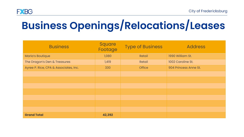

# **Business Openings/Relocations/Leases**

| <b>Business</b>                       | Square<br>Footage | Type of Business | <b>Address</b>        |
|---------------------------------------|-------------------|------------------|-----------------------|
| <b>Maria's Boutique</b>               | 1,080             | Retail           | 1990 William St.      |
| The Dragon's Den & Treasures          | 1,419             | Retail           | 1002 Caroline St.     |
| Ayree P. Rice, CPA & Associates, Inc. | 330               | <b>Office</b>    | 904 Princess Anne St. |
|                                       |                   |                  |                       |
|                                       |                   |                  |                       |
|                                       |                   |                  |                       |
|                                       |                   |                  |                       |
|                                       |                   |                  |                       |
|                                       |                   |                  |                       |
|                                       |                   |                  |                       |
| <b>Grand Total</b>                    | 42,392            |                  |                       |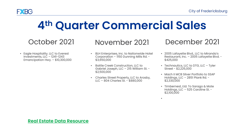

# **4th Quarter Commercial Sales**

• Eagle Hospitality. LLC to Everest Investments, LLC – 1241-1243 Emancipation Hwy. – \$10,300,000

- BLH Enterprises, Inc. to Nationwide Hotel Corporation – 1150 Dunning Mills Rd. - \$3,650,000
- Battle Creek Construction, LLC to Gabriel Joseph, LLC – 215 William St. - \$2,500,000
- Charles Street Property, LLC to Arosby, LLC – 804 Charles St. - \$880,000

## October 2021 November 2021 December 2021

- 2005 Lafayette Blvd., LLC to Miranda's Restaurant, Inc. – 2005 Lafayette Blvd. - \$425,000
- Technautics, LLC to DTG, LLC Tyler Street - \$2,225,000
- Mach II MCB Silver Portfolio to SSAP Holdings, LLC – 2851 Plank Rd. - \$2,330,000
- Timbernest, Ltd. To Sarago & Mote Holdings, LLC – 525 Caroline St. - \$2,100,000

•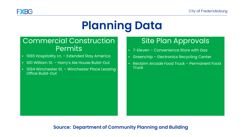

# **Planning Data**

## Commercial Construction Permits

- 1065 Hospitality Ln. Extended Stay America
- 601 William St. Harry's Ale House Build-Out
- 1094 Winchester St. Winchester Place Leasing Office Build-Out

## Site Plan Approvals

- 7-Eleven Convenience Store with Gas
- Greenchip Electronics Recycling Center
- Reclaim Arcade Food Truck Permanent Food **Truck**

#### **Source: Department of Community Planning and Building**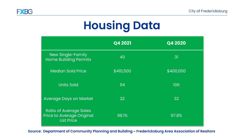

# **Housing Data**

|                                                                                        | Q4 2021   | Q4 2020   |
|----------------------------------------------------------------------------------------|-----------|-----------|
| New Single-Family<br><b>Home Building Permits</b>                                      | 40        | 31        |
| <b>Median Sold Price</b>                                                               | \$410,500 | \$400,000 |
| <b>Units Sold</b>                                                                      | 94        | 106       |
| <b>Average Days on Market</b>                                                          | 22        | 32        |
| <b>Ratio of Average Sales</b><br><b>Price to Average Original</b><br><b>List Price</b> | 98.1%     | 97.8%     |

**Source: Department of Community Planning and Building ~ Fredericksburg Area Association of Realtors**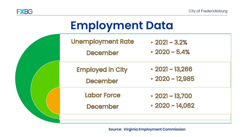

| <b>Employment Data</b> |                                      |                                                |  |  |
|------------------------|--------------------------------------|------------------------------------------------|--|--|
|                        | <b>Unemployment Rate</b><br>December | $\cdot$ 2021 ~ 3.2%<br>$\cdot$ 2020 ~ 5.4%     |  |  |
|                        | <b>Employed in City</b><br>December  | $\cdot$ 2021 ~ 13,266<br>$\cdot$ 2020 ~ 12,985 |  |  |
|                        | Labor Force<br>December              | $\cdot$ 2021 ~ 13,700<br>$\cdot$ 2020 ~ 14,062 |  |  |
|                        |                                      |                                                |  |  |

**Source: Virginia Employment Commission**